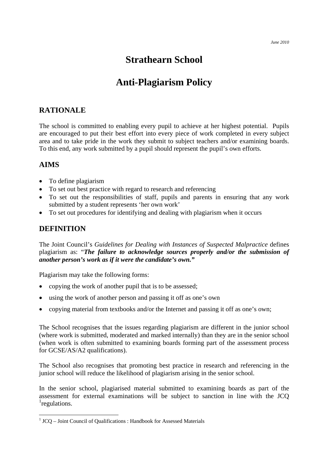## **Strathearn School**

# **Anti-Plagiarism Policy**

## **RATIONALE**

The school is committed to enabling every pupil to achieve at her highest potential. Pupils are encouraged to put their best effort into every piece of work completed in every subject area and to take pride in the work they submit to subject teachers and/or examining boards. To this end, any work submitted by a pupil should represent the pupil's own efforts.

### **AIMS**

 $\overline{a}$ 

- To define plagiarism
- To set out best practice with regard to research and referencing
- To set out the responsibilities of staff, pupils and parents in ensuring that any work submitted by a student represents 'her own work'
- To set out procedures for identifying and dealing with plagiarism when it occurs

## **DEFINITION**

The Joint Council's *Guidelines for Dealing with Instances of Suspected Malpractice* defines plagiarism as: "*The failure to acknowledge sources properly and/or the submission of another person's work as if it were the candidate's own."* 

Plagiarism may take the following forms:

- copying the work of another pupil that is to be assessed;
- using the work of another person and passing it off as one's own
- copying material from textbooks and/or the Internet and passing it off as one's own;

The School recognises that the issues regarding plagiarism are different in the junior school (where work is submitted, moderated and marked internally) than they are in the senior school (when work is often submitted to examining boards forming part of the assessment process for GCSE/AS/A2 qualifications).

The School also recognises that promoting best practice in research and referencing in the junior school will reduce the likelihood of plagiarism arising in the senior school.

In the senior school, plagiarised material submitted to examining boards as part of the assessment for external examinations will be subject to sanction in line with the JCQ <sup>[1](#page-0-0)</sup>regulations.

<span id="page-0-0"></span><sup>&</sup>lt;sup>1</sup> JCQ – Joint Council of Qualifications : Handbook for Assessed Materials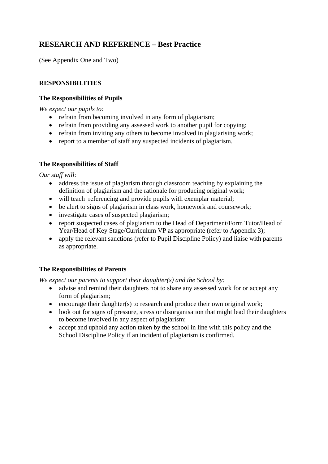## **RESEARCH AND REFERENCE – Best Practice**

(See Appendix One and Two)

#### **RESPONSIBILITIES**

#### **The Responsibilities of Pupils**

*We expect our pupils to:* 

- refrain from becoming involved in any form of plagiarism;
- refrain from providing any assessed work to another pupil for copying;
- refrain from inviting any others to become involved in plagiarising work;
- report to a member of staff any suspected incidents of plagiarism.

#### **The Responsibilities of Staff**

*Our staff will:* 

- address the issue of plagiarism through classroom teaching by explaining the definition of plagiarism and the rationale for producing original work;
- will teach referencing and provide pupils with exemplar material;
- be alert to signs of plagiarism in class work, homework and coursework;
- investigate cases of suspected plagiarism;
- report suspected cases of plagiarism to the Head of Department/Form Tutor/Head of Year/Head of Key Stage/Curriculum VP as appropriate (refer to Appendix 3);
- apply the relevant sanctions (refer to Pupil Discipline Policy) and liaise with parents as appropriate.

#### **The Responsibilities of Parents**

*We expect our parents to support their daughter(s) and the School by:* 

- advise and remind their daughters not to share any assessed work for or accept any form of plagiarism;
- encourage their daughter(s) to research and produce their own original work;
- look out for signs of pressure, stress or disorganisation that might lead their daughters to become involved in any aspect of plagiarism;
- accept and uphold any action taken by the school in line with this policy and the School Discipline Policy if an incident of plagiarism is confirmed.